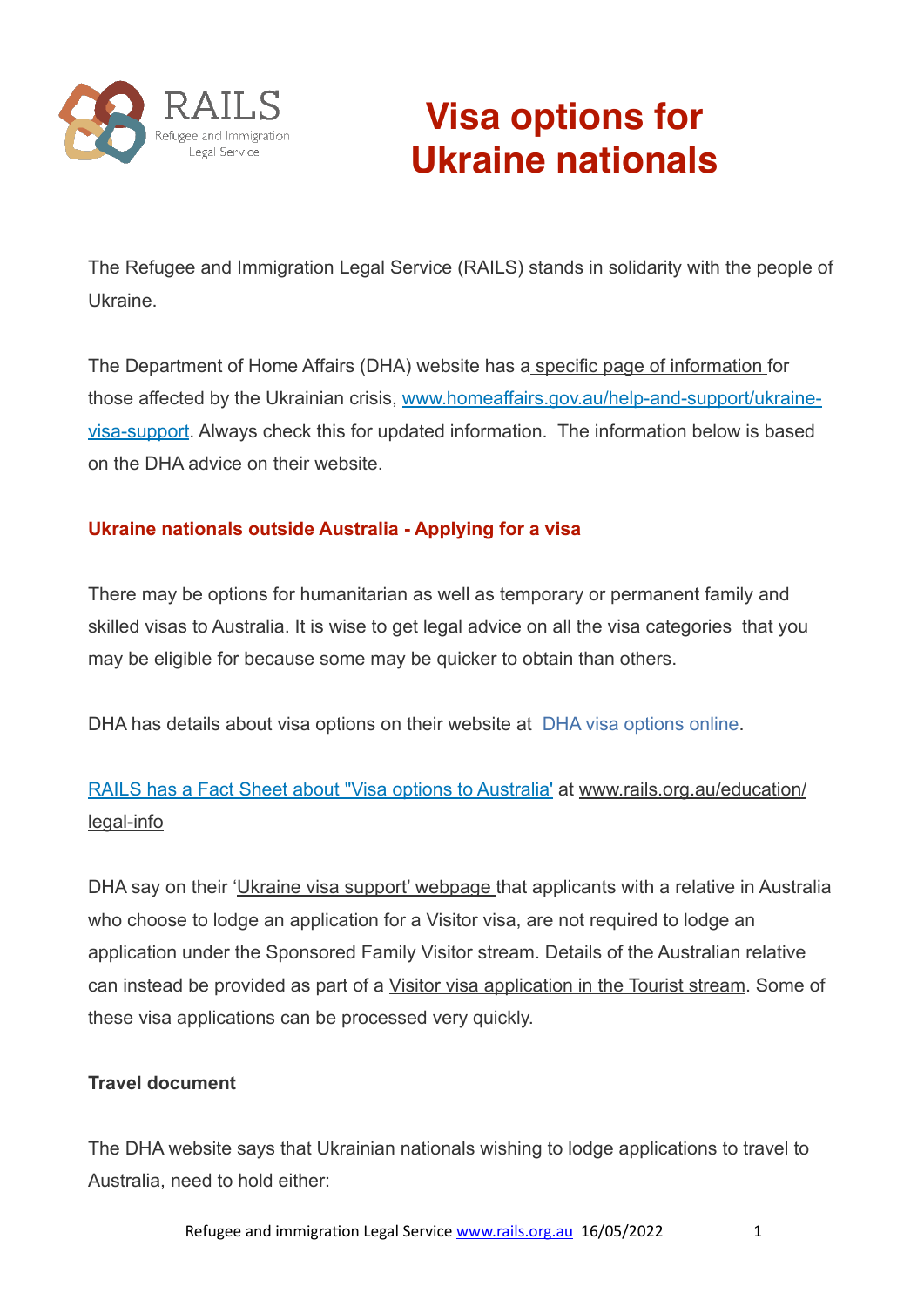

# **Visa options for Ukraine nationals**

The Refugee and Immigration Legal Service (RAILS) stands in solidarity with the people of Ukraine.

The Department of Home Affairs (DHA) website has a [specific page of information f](http://www.homeaffairs.gov.au/help-and-support/ukraine-visa-support)or those affected by the Ukrainian crisis, [www.homeaffairs.gov.au/help-and-support/ukraine](http://www.homeaffairs.gov.au/help-and-support/ukraine-visa-support)[visa-support](http://www.homeaffairs.gov.au/help-and-support/ukraine-visa-support). Always check this for updated information. The information below is based on the DHA advice on their website.

# **Ukraine nationals outside Australia - Applying for a visa**

There may be options for humanitarian as well as temporary or permanent family and skilled visas to Australia. It is wise to get legal advice on all the visa categories that you may be eligible for because some may be quicker to obtain than others.

DHA has details about visa options on their website at [DHA visa options online](https://immi.homeaffairs.gov.au/visas/getting-a-visa/visa-finder).

# [RAILS has a Fact Sheet about "Visa options to Australia'](https://www.rails.org.au/sites/default/files/2022-03/2022.03.13-Visas%20to%20Australia-Overview.pdf) at [www.rails.org.au/education/](http://www.rails.org.au/education/legal-info) [legal-info](http://www.rails.org.au/education/legal-info)

DHA say on their '[Ukraine visa support' webpage t](https://www.homeaffairs.gov.au/help-and-support/ukraine-visa-support)hat applicants with a relative in Australia who choose to lodge an application for a Visitor visa, are not required to lodge an application under the Sponsored Family Visitor stream. Details of the Australian relative can instead be provided as part of a [Visitor visa application in the Tourist stream](https://immi.homeaffairs.gov.au/visas/getting-a-visa/visa-listing/visitor-600/tourist-stream-overseas). Some of these visa applications can be processed very quickly.

# **Travel document**

The DHA website says that Ukrainian nationals wishing to lodge applications to travel to Australia, need to hold either: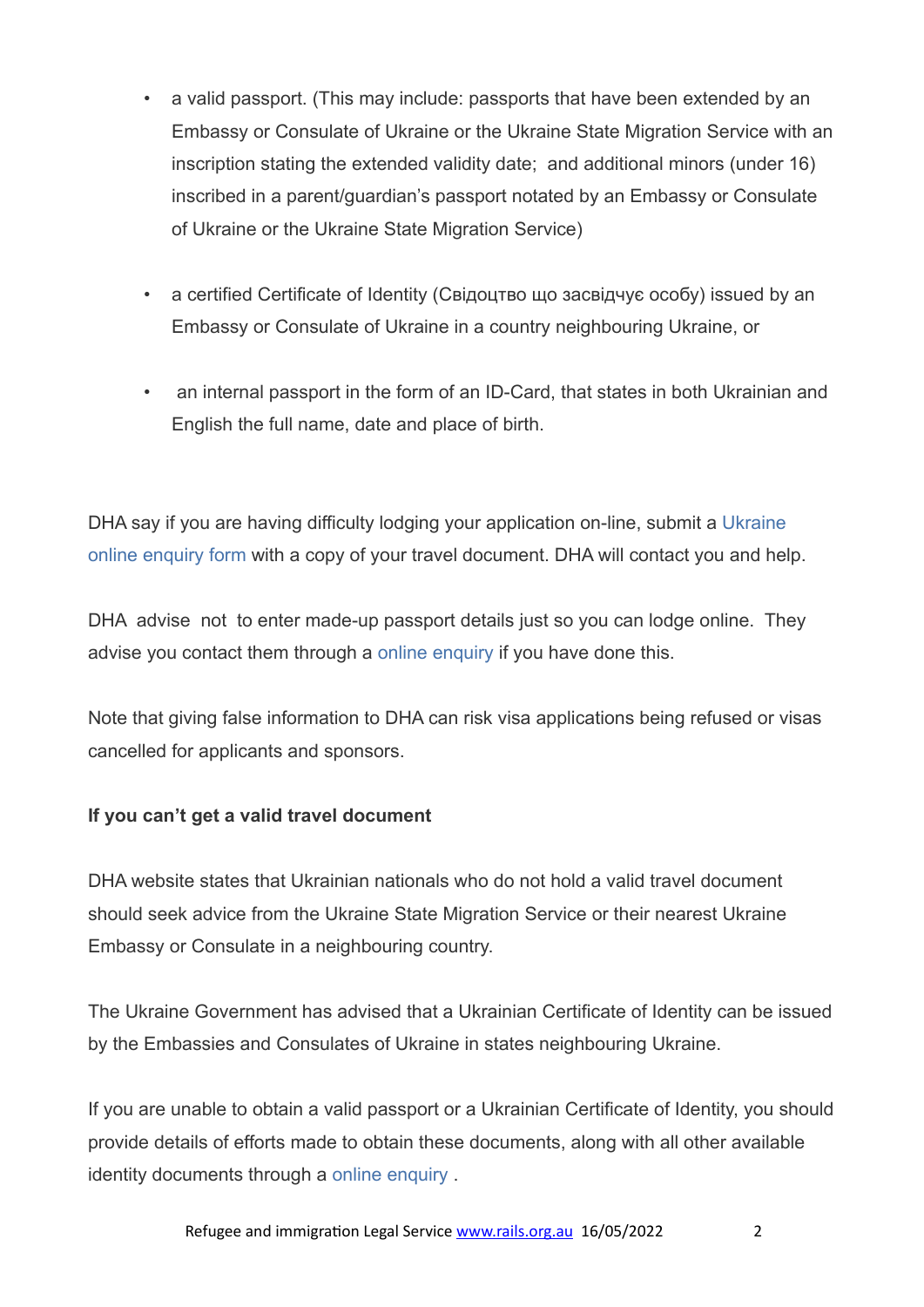- a valid passport. (This may include: passports that have been extended by an Embassy or Consulate of Ukraine or the Ukraine State Migration Service with an inscription stating the extended validity date; and additional minors (under 16) inscribed in a parent/guardian's passport notated by an Embassy or Consulate of Ukraine or the Ukraine State Migration Service)
- a certified Certificate of Identity (Свідоцтво що засвідчує особу) issued by an Embassy or Consulate of Ukraine in a country neighbouring Ukraine, or
- an internal passport in the form of an ID-Card, that states in both Ukrainian and English the full name, date and place of birth.

DHA say if you are having difficulty lodging your application on-line, submit a Ukraine [online enquiry form](https://www.homeaffairs.gov.au/help-and-support/ukraine-visa-support/contact-form-for-ukraine) with a copy of your travel document. DHA will contact you and help.

DHA advise not to enter made-up passport details just so you can lodge online. They advise you contact them through a [online enquiry](https://www.homeaffairs.gov.au/help-and-support/ukraine-visa-support/contact-form-for-ukraine) if you have done this.

Note that giving false information to DHA can risk visa applications being refused or visas cancelled for applicants and sponsors.

# **If you can't get a valid travel document**

DHA website states that Ukrainian nationals who do not hold a valid travel document should seek advice from the Ukraine State Migration Service or their nearest Ukraine Embassy or Consulate in a neighbouring country.

The Ukraine Government has advised that a Ukrainian Certificate of Identity can be issued by the Embassies and Consulates of Ukraine in states neighbouring Ukraine.

If you are unable to obtain a valid passport or a Ukrainian Certificate of Identity, you should provide details of efforts made to obtain these documents, along with all other available identity documents through a [online enquiry](https://www.homeaffairs.gov.au/help-and-support/ukraine-visa-support/contact-form-for-ukraine) .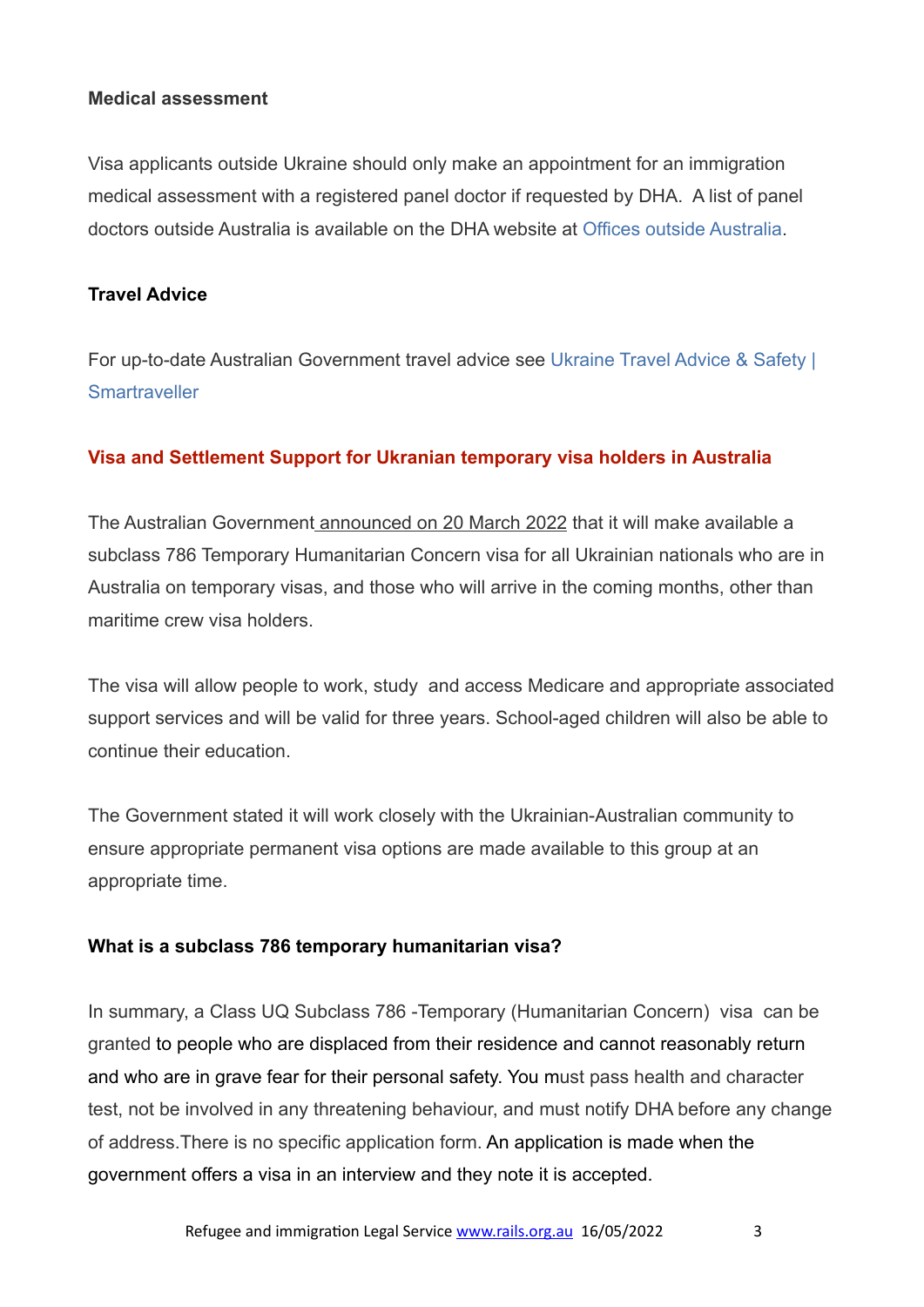#### **Medical assessment**

Visa applicants outside Ukraine should only make an appointment for an immigration medical assessment with a registered panel doctor if requested by DHA. A list of panel doctors outside Australia is available on the DHA website at [Offices outside Australia](https://immi.homeaffairs.gov.au/help-support/contact-us/offices-and-locations/offices-outside-australia).

#### **Travel Advice**

For up-to-date Australian Government travel advice see [Ukraine Travel Advice & Safety |](https://www.smartraveller.gov.au/destinations/europe/ukraine)  **[Smartraveller](https://www.smartraveller.gov.au/destinations/europe/ukraine)** 

#### **Visa and Settlement Support for Ukranian temporary visa holders in Australia**

The Australian Government [announced on 20 March 2022](https://minister.homeaffairs.gov.au/AlexHawke/Pages/enhanced-support-for-ukrainians-fleeing-russias-war-on-ukraine.aspx) that it will make available a subclass 786 Temporary Humanitarian Concern visa for all Ukrainian nationals who are in Australia on temporary visas, and those who will arrive in the coming months, other than maritime crew visa holders.

The visa will allow people to work, study and access Medicare and appropriate associated support services and will be valid for three years. School-aged children will also be able to continue their education.

The Government stated it will work closely with the Ukrainian-Australian community to ensure appropriate permanent visa options are made available to this group at an appropriate time.

#### **What is a subclass 786 temporary humanitarian visa?**

In summary, a Class UQ Subclass 786 -Temporary (Humanitarian Concern) visa can be granted to people who are displaced from their residence and cannot reasonably return and who are in grave fear for their personal safety. You must pass health and character test, not be involved in any threatening behaviour, and must notify DHA before any change of address.There is no specific application form. An application is made when the government offers a visa in an interview and they note it is accepted.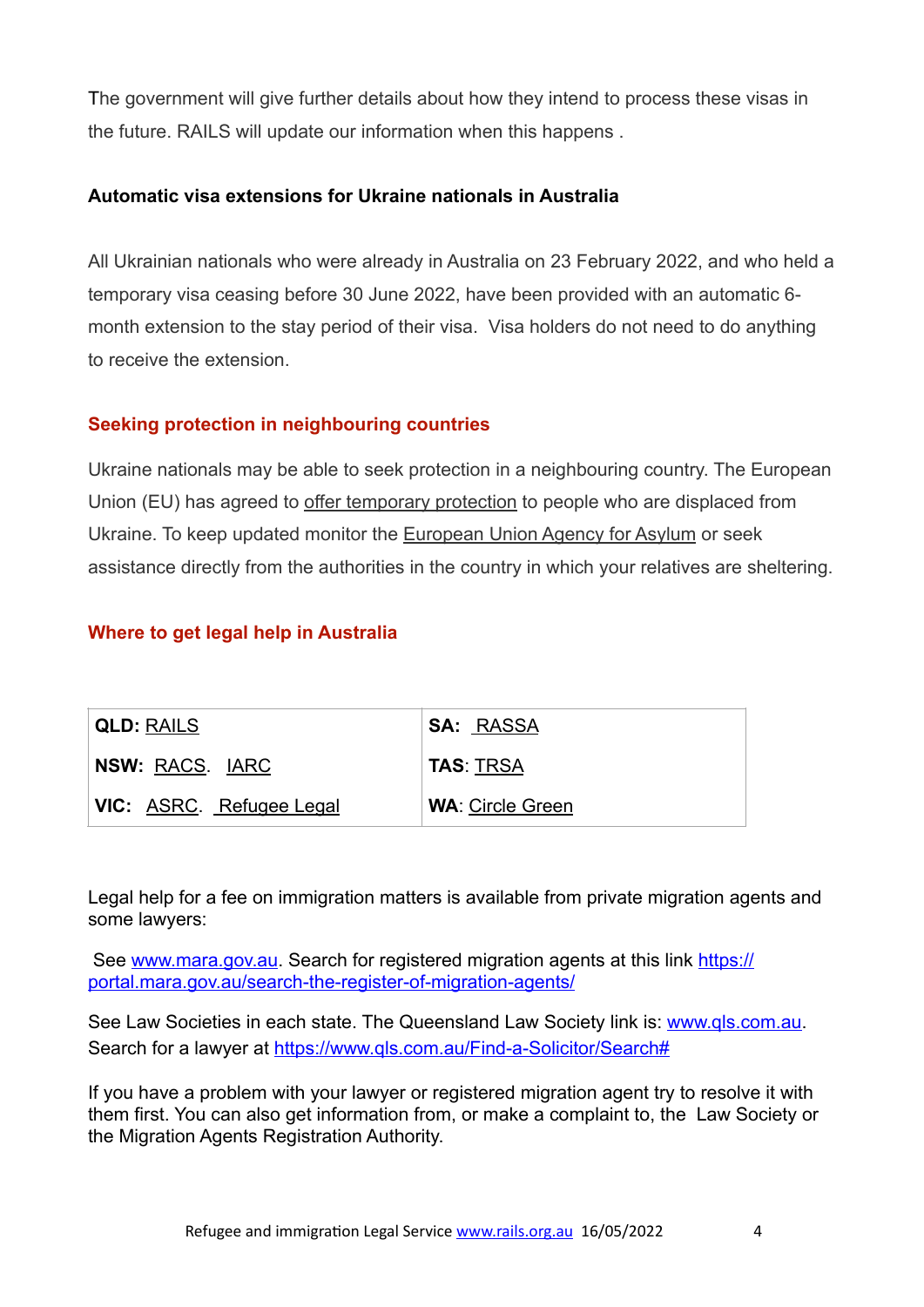The government will give further details about how they intend to process these visas in the future. RAILS will update our information when this happens .

#### **Automatic visa extensions for Ukraine nationals in Australia**

All Ukrainian nationals who were already in Australia on 23 February 2022, and who held a temporary visa ceasing before 30 June 2022, have been provided with an automatic 6 month extension to the stay period of their visa. Visa holders do not need to do anything to receive the extension.

# **Seeking protection in neighbouring countries**

Ukraine nationals may be able to seek protection in a neighbouring country. The European Union (EU) has agreed to [offer temporary protection](http://Your%20relatives%20may%20also%20be%20able%20to%20seek%20protection%20in%20a%20neighbouring%20country.%20For%20example,%20the%20European%20Union%20(EU)%20has%20agreed%20to%20offer%20temporary%20protection%20to%20people%20who%20are%20displaced%20from%20Ukraine.%20For%20more%20information%20and%20to%20keep%20updated%20on%20other%20developments,%20we%20suggest%20you%20monitor%20the%20European%20Union%20Agency%20for%20Asylum%20or%20seek%20assistance%20directly%20from%20the%20authorities%20in%20the%20country%20in%20which%20your%20relatives%20are%20sheltering.) to people who are displaced from Ukraine. To keep updated monitor the [European Union Agency for Asylum](https://euaa.europa.eu/news-events/press-releases) or seek assistance directly from the authorities in the country in which your relatives are sheltering.

# **Where to get legal help in Australia**

| <b>QLD: RAILS</b>               | <b>SA: RASSA</b>        |
|---------------------------------|-------------------------|
| NSW: RACS. IARC                 | <b>TAS: TRSA</b>        |
| <b>VIC:</b> ASRC. Refugee Legal | <b>WA: Circle Green</b> |

Legal help for a fee on immigration matters is available from private migration agents and some lawyers:

See [www.mara.gov.au](http://www.mara.gov.au). Search for registered migration agents at this link [https://](https://portal.mara.gov.au/search-the-register-of-migration-agents/) [portal.mara.gov.au/search-the-register-of-migration-agents/](https://portal.mara.gov.au/search-the-register-of-migration-agents/)

See Law Societies in each state. The Queensland Law Society link is: [www.qls.com.au.](http://www.qls.com.au) Search for a lawyer at [https://www.qls.com.au/Find-a-Solicitor/Search#](https://www.qls.com.au/Find-a-Solicitor/Search)

If you have a problem with your lawyer or registered migration agent try to resolve it with them first. You can also get information from, or make a complaint to, the Law Society or the Migration Agents Registration Authority.